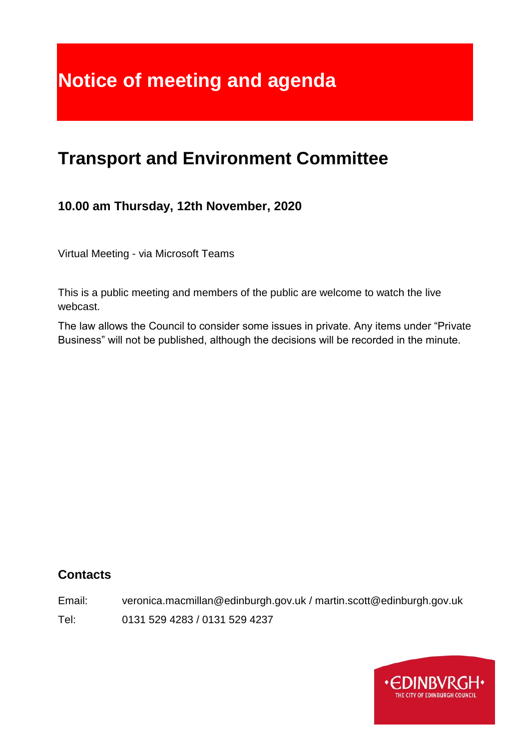# **Notice of meeting and agenda**

## **Transport and Environment Committee**

## **10.00 am Thursday, 12th November, 2020**

Virtual Meeting - via Microsoft Teams

This is a public meeting and members of the public are welcome to watch the live webcast.

The law allows the Council to consider some issues in private. Any items under "Private Business" will not be published, although the decisions will be recorded in the minute.

## **Contacts**

Email: veronica.macmillan@edinburgh.gov.uk / martin.scott@edinburgh.gov.uk

Tel: 0131 529 4283 / 0131 529 4237

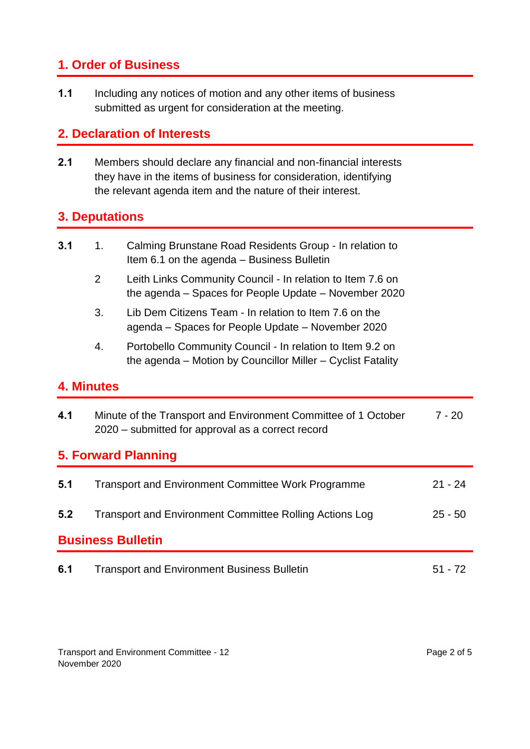## **1. Order of Business**

**1.1** Including any notices of motion and any other items of business submitted as urgent for consideration at the meeting.

## **2. Declaration of Interests**

**2.1** Members should declare any financial and non-financial interests they have in the items of business for consideration, identifying the relevant agenda item and the nature of their interest.

## **3. Deputations**

| 3.1 | Calming Brunstane Road Residents Group - In relation to |
|-----|---------------------------------------------------------|
|     | Item 6.1 on the agenda – Business Bulletin              |

- 2 Leith Links Community Council In relation to Item 7.6 on the agenda – Spaces for People Update – November 2020
- 3. Lib Dem Citizens Team In relation to Item 7.6 on the agenda – Spaces for People Update – November 2020
- 4. Portobello Community Council In relation to Item 9.2 on the agenda – Motion by Councillor Miller – Cyclist Fatality

#### **4. Minutes**

| 4.1                        | Minute of the Transport and Environment Committee of 1 October<br>2020 – submitted for approval as a correct record | $7 - 20$  |  |  |  |
|----------------------------|---------------------------------------------------------------------------------------------------------------------|-----------|--|--|--|
| <b>5. Forward Planning</b> |                                                                                                                     |           |  |  |  |
| 5.1                        | <b>Transport and Environment Committee Work Programme</b>                                                           | $21 - 24$ |  |  |  |
| 5.2                        | <b>Transport and Environment Committee Rolling Actions Log</b>                                                      | $25 - 50$ |  |  |  |
| <b>Business Bulletin</b>   |                                                                                                                     |           |  |  |  |
| 6.1                        | <b>Transport and Environment Business Bulletin</b>                                                                  | 51 - 72   |  |  |  |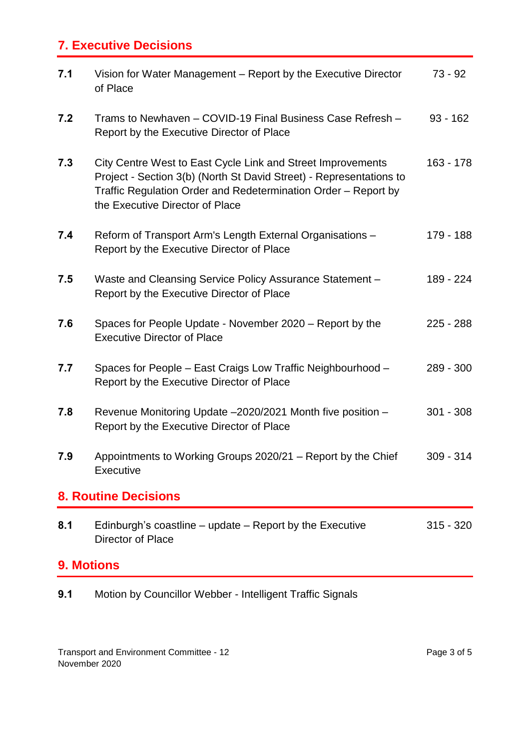## **7. Executive Decisions**

| 7.1 | Vision for Water Management - Report by the Executive Director<br>of Place                                                                                                                                                              | $73 - 92$   |
|-----|-----------------------------------------------------------------------------------------------------------------------------------------------------------------------------------------------------------------------------------------|-------------|
| 7.2 | Trams to Newhaven - COVID-19 Final Business Case Refresh -<br>Report by the Executive Director of Place                                                                                                                                 | $93 - 162$  |
| 7.3 | City Centre West to East Cycle Link and Street Improvements<br>Project - Section 3(b) (North St David Street) - Representations to<br>Traffic Regulation Order and Redetermination Order - Report by<br>the Executive Director of Place | $163 - 178$ |
| 7.4 | Reform of Transport Arm's Length External Organisations -<br>Report by the Executive Director of Place                                                                                                                                  | 179 - 188   |
| 7.5 | Waste and Cleansing Service Policy Assurance Statement -<br>Report by the Executive Director of Place                                                                                                                                   | 189 - 224   |
| 7.6 | Spaces for People Update - November 2020 – Report by the<br><b>Executive Director of Place</b>                                                                                                                                          | $225 - 288$ |
| 7.7 | Spaces for People - East Craigs Low Traffic Neighbourhood -<br>Report by the Executive Director of Place                                                                                                                                | 289 - 300   |
| 7.8 | Revenue Monitoring Update -2020/2021 Month five position -<br>Report by the Executive Director of Place                                                                                                                                 | $301 - 308$ |
| 7.9 | Appointments to Working Groups 2020/21 – Report by the Chief<br><b>Executive</b>                                                                                                                                                        | $309 - 314$ |
|     | <b>8. Routine Decisions</b>                                                                                                                                                                                                             |             |
| 8.1 | Edinburgh's coastline - update - Report by the Executive<br>Director of Place                                                                                                                                                           | $315 - 320$ |
|     | <b>9. Motions</b>                                                                                                                                                                                                                       |             |

**9.1** Motion by Councillor Webber - Intelligent Traffic Signals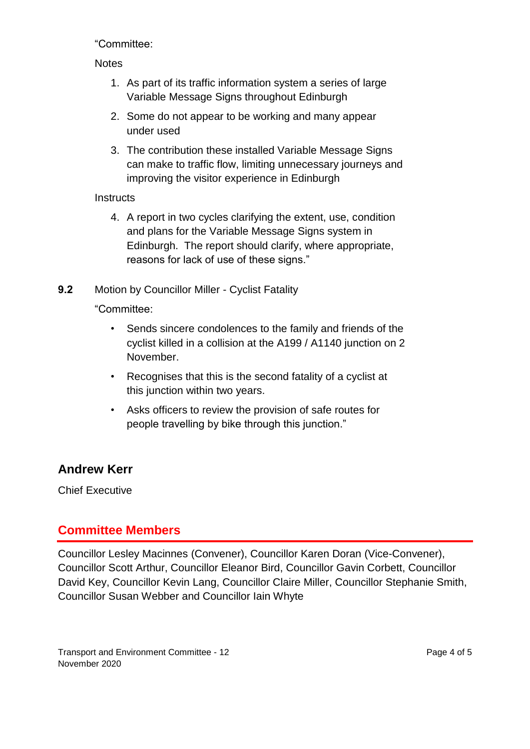"Committee:

#### **Notes**

- 1. As part of its traffic information system a series of large Variable Message Signs throughout Edinburgh
- 2. Some do not appear to be working and many appear under used
- 3. The contribution these installed Variable Message Signs can make to traffic flow, limiting unnecessary journeys and improving the visitor experience in Edinburgh

#### **Instructs**

- 4. A report in two cycles clarifying the extent, use, condition and plans for the Variable Message Signs system in Edinburgh. The report should clarify, where appropriate, reasons for lack of use of these signs."
- **9.2** Motion by Councillor Miller Cyclist Fatality

"Committee:

- Sends sincere condolences to the family and friends of the cyclist killed in a collision at the A199 / A1140 junction on 2 November.
- Recognises that this is the second fatality of a cyclist at this junction within two years.
- Asks officers to review the provision of safe routes for people travelling by bike through this junction."

## **Andrew Kerr**

Chief Executive

## **Committee Members**

Councillor Lesley Macinnes (Convener), Councillor Karen Doran (Vice-Convener), Councillor Scott Arthur, Councillor Eleanor Bird, Councillor Gavin Corbett, Councillor David Key, Councillor Kevin Lang, Councillor Claire Miller, Councillor Stephanie Smith, Councillor Susan Webber and Councillor Iain Whyte